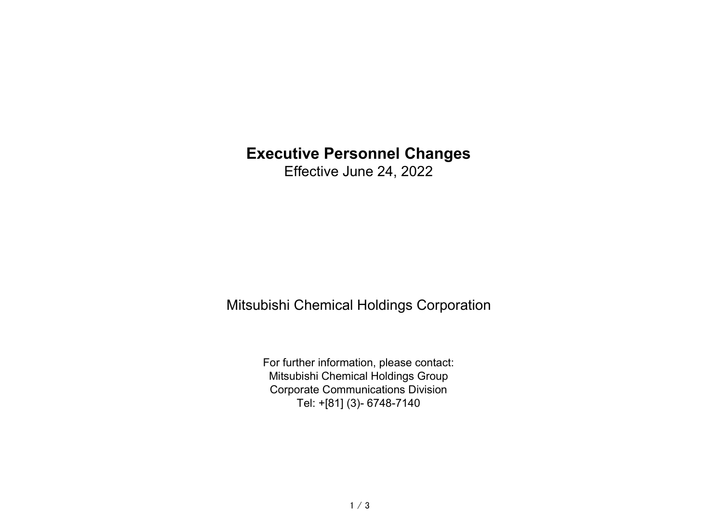# Executive Personnel Changes

Effective June 24, 2022

# Mitsubishi Chemical Holdings Corporation

For further information, please contact: Mitsubishi Chemical Holdings Group Corporate Communications Division Tel: +[81] (3)- 6748-7140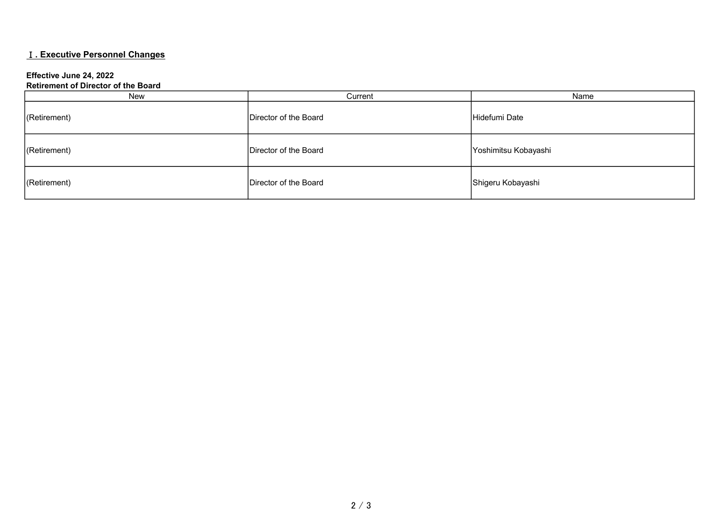## Ⅰ. Executive Personnel Changes

### Effective June 24, 2022

#### Retirement of Director of the Board

| <b>New</b>   | Current               | Name                 |
|--------------|-----------------------|----------------------|
| (Retirement) | Director of the Board | Hidefumi Date        |
| (Retirement) | Director of the Board | Yoshimitsu Kobayashi |
| (Retirement) | Director of the Board | Shigeru Kobayashi    |